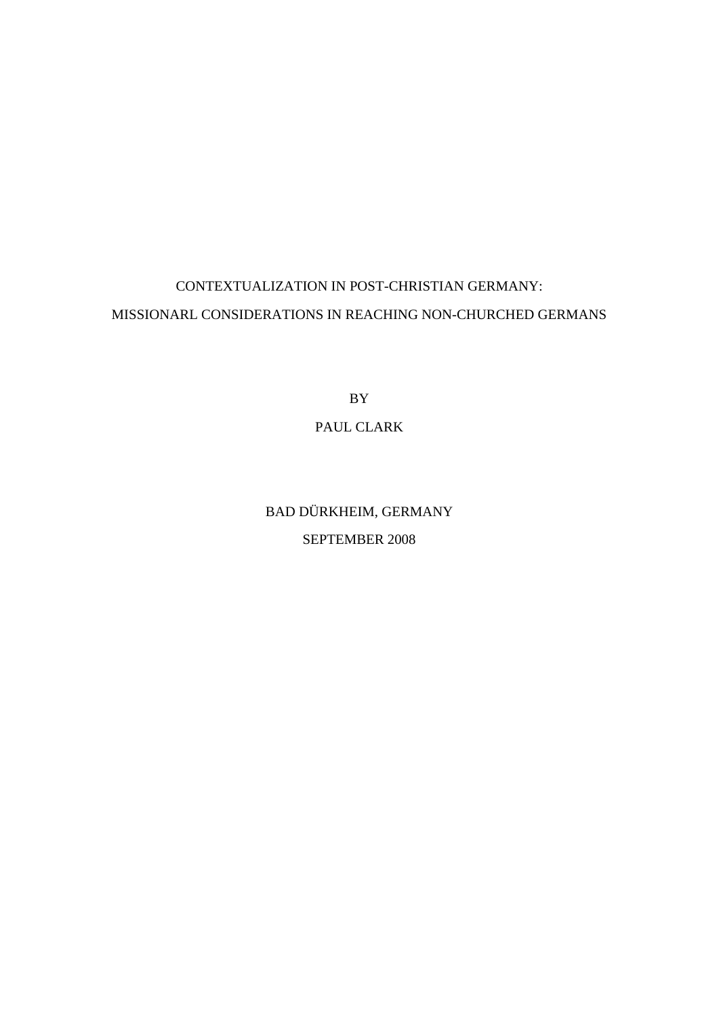# CONTEXTUALIZATION IN POST-CHRISTIAN GERMANY: MISSIONARL CONSIDERATIONS IN REACHING NON-CHURCHED GERMANS

BY

## PAUL CLARK

BAD DÜRKHEIM, GERMANY SEPTEMBER 2008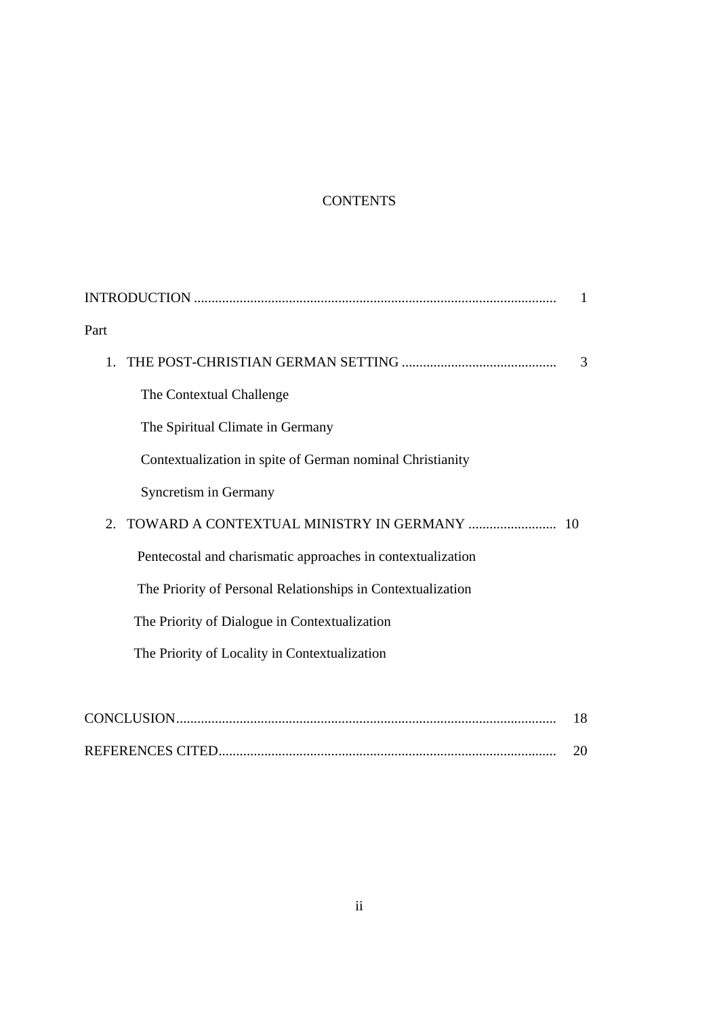## **CONTENTS**

| Part                                                        |    |
|-------------------------------------------------------------|----|
|                                                             | 3  |
| The Contextual Challenge                                    |    |
| The Spiritual Climate in Germany                            |    |
| Contextualization in spite of German nominal Christianity   |    |
| Syncretism in Germany                                       |    |
| 2. TOWARD A CONTEXTUAL MINISTRY IN GERMANY  10              |    |
| Pentecostal and charismatic approaches in contextualization |    |
| The Priority of Personal Relationships in Contextualization |    |
| The Priority of Dialogue in Contextualization               |    |
| The Priority of Locality in Contextualization               |    |
|                                                             |    |
|                                                             | 18 |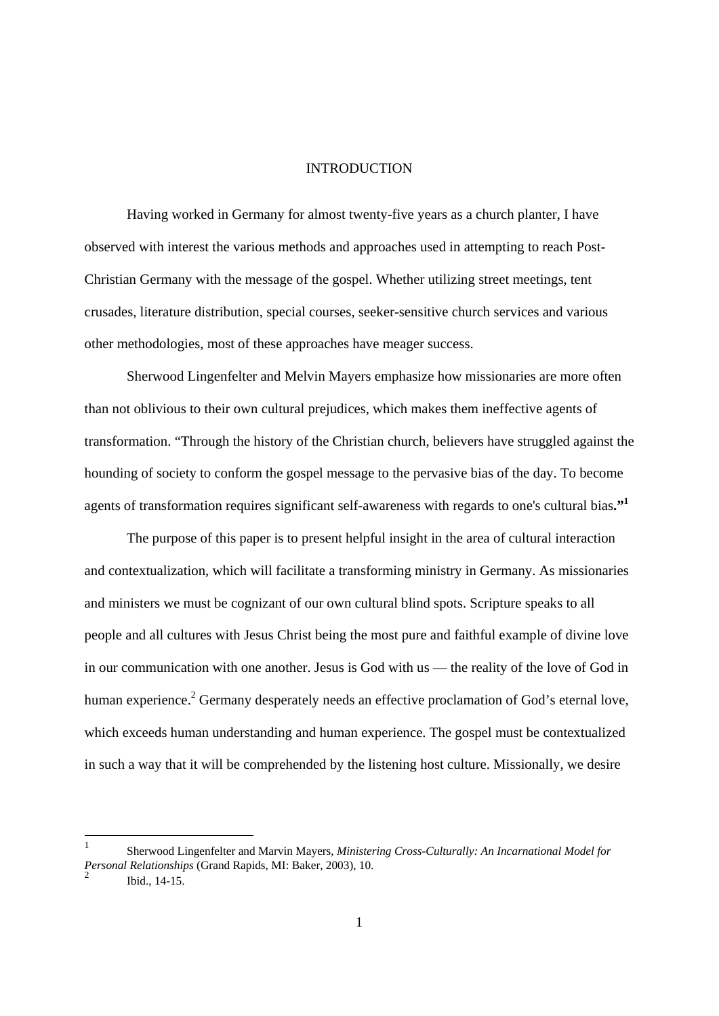## INTRODUCTION

Having worked in Germany for almost twenty-five years as a church planter, I have observed with interest the various methods and approaches used in attempting to reach Post-Christian Germany with the message of the gospel. Whether utilizing street meetings, tent crusades, literature distribution, special courses, seeker-sensitive church services and various other methodologies, most of these approaches have meager success.

Sherwood Lingenfelter and Melvin Mayers emphasize how missionaries are more often than not oblivious to their own cultural prejudices, which makes them ineffective agents of transformation. "Through the history of the Christian church, believers have struggled against the hounding of society to conform the gospel message to the pervasive bias of the day. To become agents of transformation requires significant self-awareness with regards to one's cultural bias**."1**

The purpose of this paper is to present helpful insight in the area of cultural interaction and contextualization, which will facilitate a transforming ministry in Germany. As missionaries and ministers we must be cognizant of our own cultural blind spots. Scripture speaks to all people and all cultures with Jesus Christ being the most pure and faithful example of divine love in our communication with one another. Jesus is God with us — the reality of the love of God in human experience.<sup>2</sup> Germany desperately needs an effective proclamation of God's eternal love, which exceeds human understanding and human experience. The gospel must be contextualized in such a way that it will be comprehended by the listening host culture. Missionally, we desire

-

<sup>1</sup> Sherwood Lingenfelter and Marvin Mayers, *Ministering Cross-Culturally: An Incarnational Model for Personal Relationships* (Grand Rapids, MI: Baker, 2003), 10. 2 Ibid., 14-15.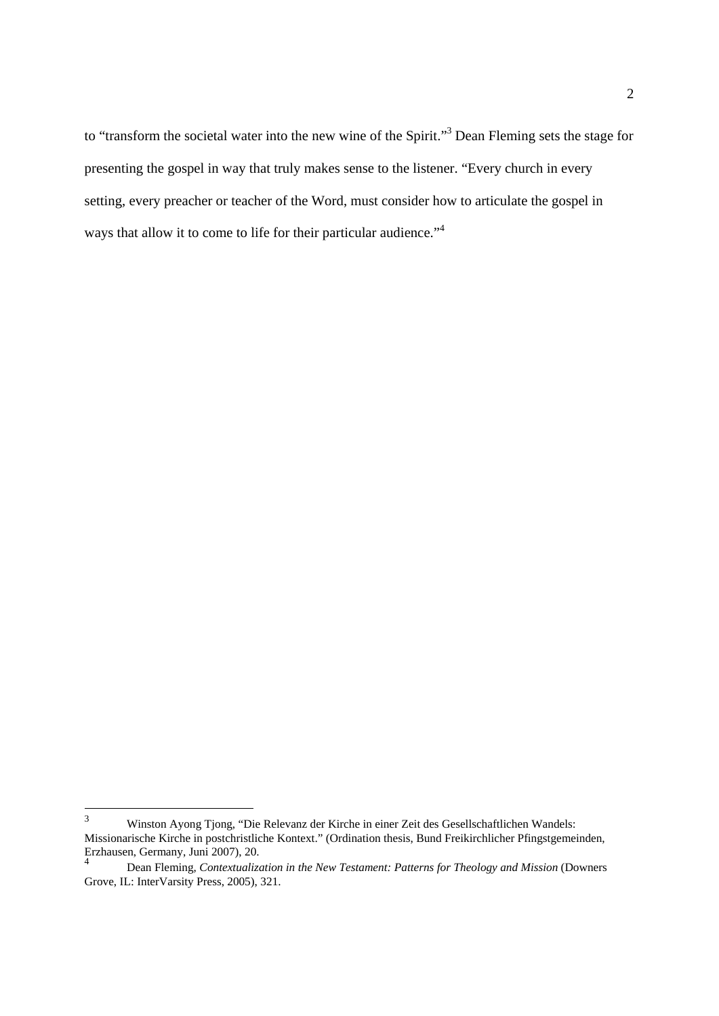to "transform the societal water into the new wine of the Spirit."<sup>3</sup> Dean Fleming sets the stage for presenting the gospel in way that truly makes sense to the listener. "Every church in every setting, every preacher or teacher of the Word, must consider how to articulate the gospel in ways that allow it to come to life for their particular audience."<sup>4</sup>

 $\frac{1}{3}$  Winston Ayong Tjong, "Die Relevanz der Kirche in einer Zeit des Gesellschaftlichen Wandels: Missionarische Kirche in postchristliche Kontext." (Ordination thesis, Bund Freikirchlicher Pfingstgemeinden, Erzhausen, Germany, Juni 2007), 20.

<sup>4</sup> Dean Fleming, *Contextualization in the New Testament: Patterns for Theology and Mission* (Downers Grove, IL: InterVarsity Press, 2005), 321.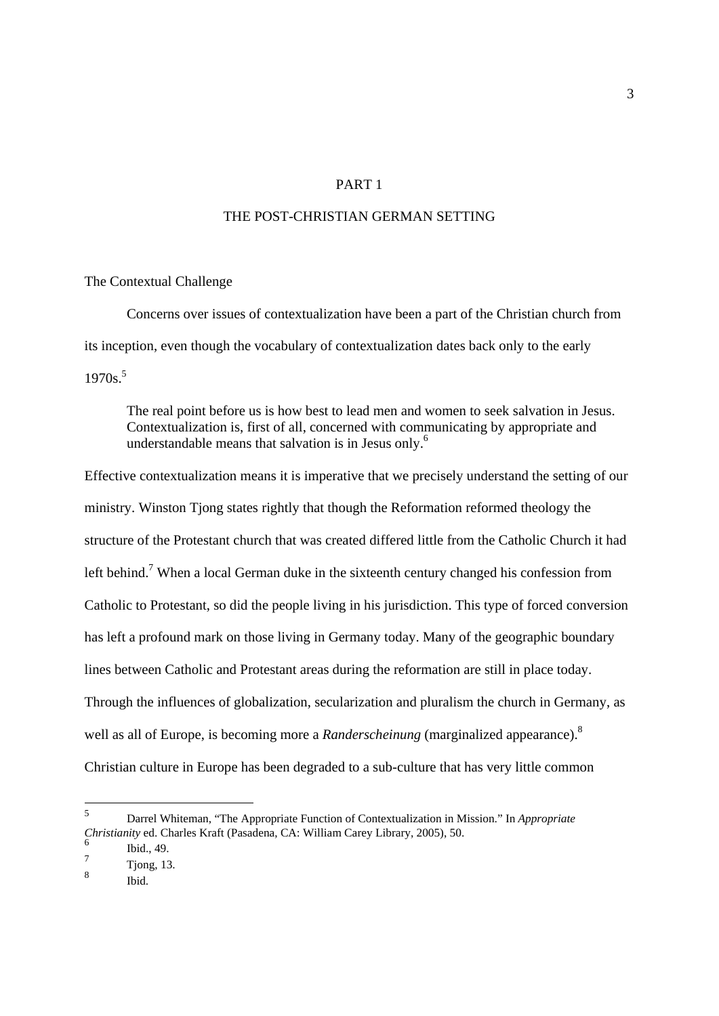## PART 1

## THE POST-CHRISTIAN GERMAN SETTING

#### The Contextual Challenge

Concerns over issues of contextualization have been a part of the Christian church from its inception, even though the vocabulary of contextualization dates back only to the early  $1970s$ <sup>5</sup>

 The real point before us is how best to lead men and women to seek salvation in Jesus. Contextualization is, first of all, concerned with communicating by appropriate and understandable means that salvation is in Jesus only.<sup>6</sup>

Effective contextualization means it is imperative that we precisely understand the setting of our ministry. Winston Tjong states rightly that though the Reformation reformed theology the structure of the Protestant church that was created differed little from the Catholic Church it had left behind.<sup>7</sup> When a local German duke in the sixteenth century changed his confession from Catholic to Protestant, so did the people living in his jurisdiction. This type of forced conversion has left a profound mark on those living in Germany today. Many of the geographic boundary lines between Catholic and Protestant areas during the reformation are still in place today. Through the influences of globalization, secularization and pluralism the church in Germany, as well as all of Europe, is becoming more a *Randerscheinung* (marginalized appearance).<sup>8</sup> Christian culture in Europe has been degraded to a sub-culture that has very little common

1

<sup>5</sup> Darrel Whiteman, "The Appropriate Function of Contextualization in Mission." In *Appropriate Christianity* ed. Charles Kraft (Pasadena, CA: William Carey Library, 2005), 50.

<sup>6</sup> Ibid., 49.

<sup>7</sup> Tjong, 13.

<sup>8</sup> Ibid.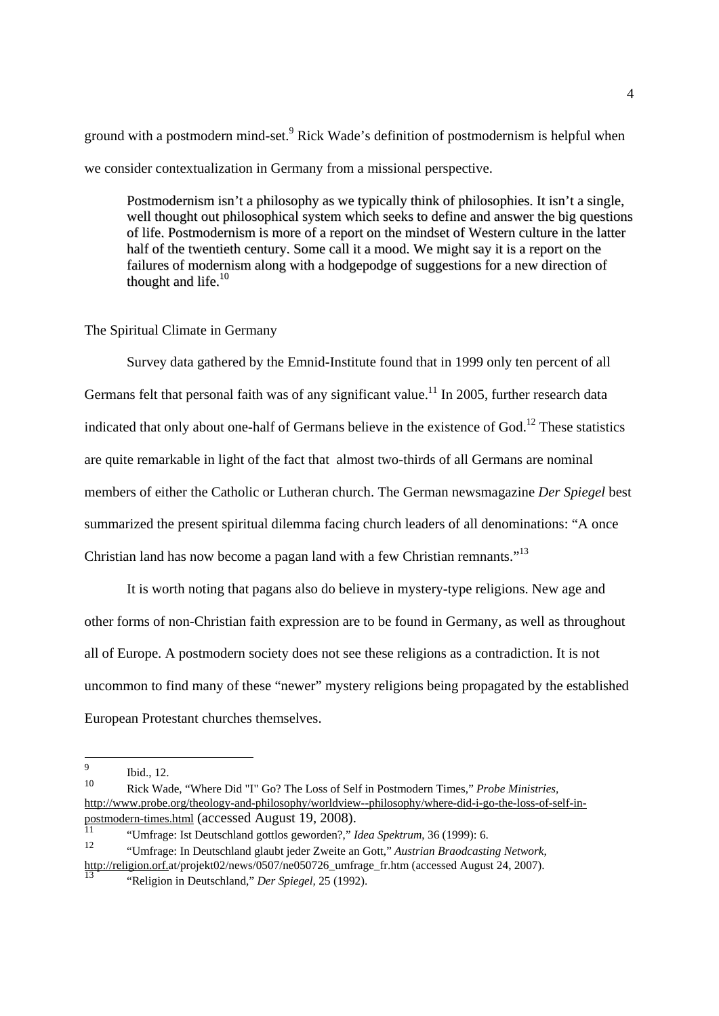ground with a postmodern mind-set.<sup>9</sup> Rick Wade's definition of postmodernism is helpful when we consider contextualization in Germany from a missional perspective.

Postmodernism isn't a philosophy as we typically think of philosophies. It isn't a single, well thought out philosophical system which seeks to define and answer the big questions of life. Postmodernism is more of a report on the mindset of Western culture in the latter half of the twentieth century. Some call it a mood. We might say it is a report on the failures of modernism along with a hodgepodge of suggestions for a new direction of thought and life.<sup>10</sup>

#### The Spiritual Climate in Germany

Survey data gathered by the Emnid-Institute found that in 1999 only ten percent of all Germans felt that personal faith was of any significant value.<sup>11</sup> In 2005, further research data indicated that only about one-half of Germans believe in the existence of God.<sup>12</sup> These statistics are quite remarkable in light of the fact that almost two-thirds of all Germans are nominal members of either the Catholic or Lutheran church. The German newsmagazine *Der Spiegel* best summarized the present spiritual dilemma facing church leaders of all denominations: "A once Christian land has now become a pagan land with a few Christian remnants."<sup>13</sup>

It is worth noting that pagans also do believe in mystery-type religions. New age and other forms of non-Christian faith expression are to be found in Germany, as well as throughout all of Europe. A postmodern society does not see these religions as a contradiction. It is not uncommon to find many of these "newer" mystery religions being propagated by the established European Protestant churches themselves.

<sup>-&</sup>lt;br>9  $\frac{9}{10}$  Ibid., 12.

<sup>10</sup> Rick Wade, "Where Did "I" Go? The Loss of Self in Postmodern Times," *Probe Ministries,*  http://www.probe.org/theology-and-philosophy/worldview--philosophy/where-did-i-go-the-loss-of-self-inpostmodern-times.html (accessed August 19, 2008).

<sup>11 &</sup>quot;Umfrage: Ist Deutschland gottlos geworden?," *Idea Spektrum*, 36 (1999): 6.

<sup>12 &</sup>quot;Umfrage: In Deutschland glaubt jeder Zweite an Gott," *Austrian Braodcasting Network*, http://religion.orf.at/projekt02/news/0507/ne050726\_umfrage\_fr.htm (accessed August 24, 2007).

<sup>13 &</sup>quot;Religion in Deutschland," *Der Spiegel,* 25 (1992).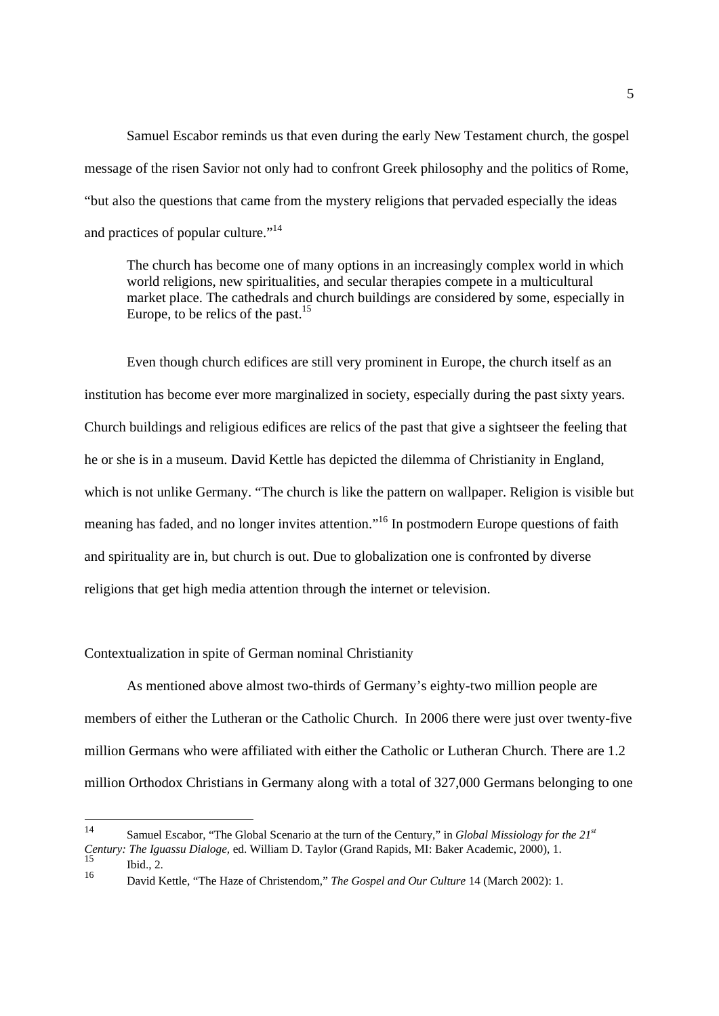Samuel Escabor reminds us that even during the early New Testament church, the gospel message of the risen Savior not only had to confront Greek philosophy and the politics of Rome, "but also the questions that came from the mystery religions that pervaded especially the ideas and practices of popular culture."14

 The church has become one of many options in an increasingly complex world in which world religions, new spiritualities, and secular therapies compete in a multicultural market place. The cathedrals and church buildings are considered by some, especially in Europe, to be relics of the past.<sup>15</sup>

Even though church edifices are still very prominent in Europe, the church itself as an institution has become ever more marginalized in society, especially during the past sixty years. Church buildings and religious edifices are relics of the past that give a sightseer the feeling that he or she is in a museum. David Kettle has depicted the dilemma of Christianity in England, which is not unlike Germany. "The church is like the pattern on wallpaper. Religion is visible but meaning has faded, and no longer invites attention."<sup>16</sup> In postmodern Europe questions of faith and spirituality are in, but church is out. Due to globalization one is confronted by diverse religions that get high media attention through the internet or television.

#### Contextualization in spite of German nominal Christianity

As mentioned above almost two-thirds of Germany's eighty-two million people are members of either the Lutheran or the Catholic Church. In 2006 there were just over twenty-five million Germans who were affiliated with either the Catholic or Lutheran Church. There are 1.2 million Orthodox Christians in Germany along with a total of 327,000 Germans belonging to one

<sup>14</sup> 14 Samuel Escabor, "The Global Scenario at the turn of the Century," in *Global Missiology for the 21st Century: The Iguassu Dialoge,* ed. William D. Taylor (Grand Rapids, MI: Baker Academic, 2000), 1.  $15$  Ibid., 2.<br> $16$  Deviation

<sup>16</sup> David Kettle, "The Haze of Christendom," *The Gospel and Our Culture* 14 (March 2002): 1.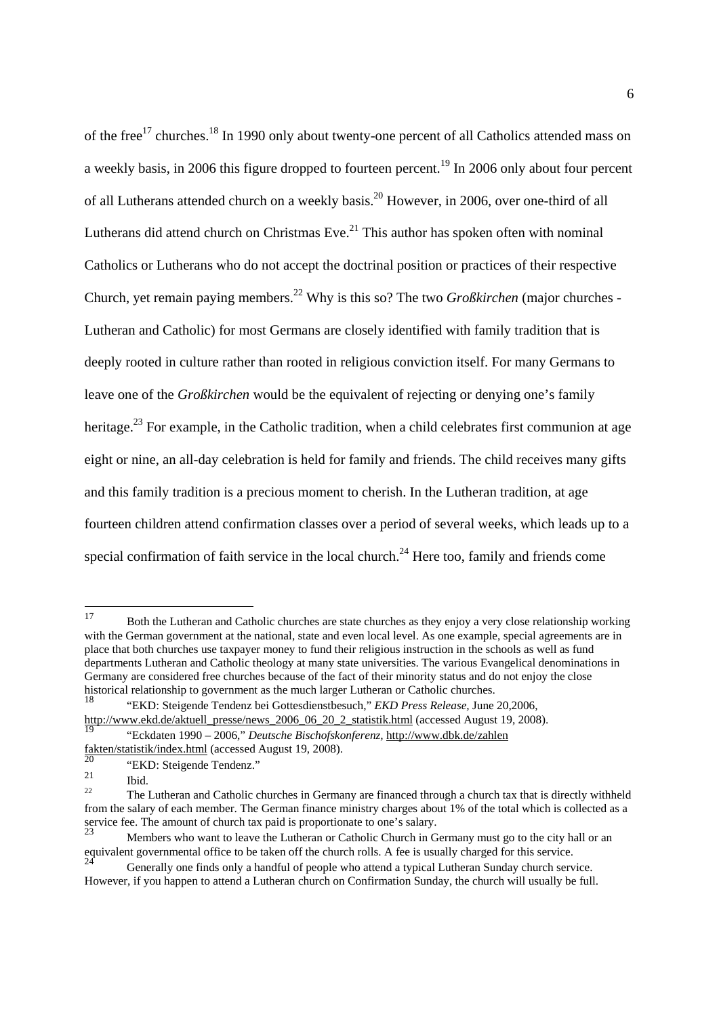of the free<sup>17</sup> churches.<sup>18</sup> In 1990 only about twenty-one percent of all Catholics attended mass on a weekly basis, in 2006 this figure dropped to fourteen percent.<sup>19</sup> In 2006 only about four percent of all Lutherans attended church on a weekly basis.<sup>20</sup> However, in 2006, over one-third of all Lutherans did attend church on Christmas Eve. $^{21}$  This author has spoken often with nominal Catholics or Lutherans who do not accept the doctrinal position or practices of their respective Church, yet remain paying members.22 Why is this so? The two *Großkirchen* (major churches - Lutheran and Catholic) for most Germans are closely identified with family tradition that is deeply rooted in culture rather than rooted in religious conviction itself. For many Germans to leave one of the *Großkirchen* would be the equivalent of rejecting or denying one's family heritage.<sup>23</sup> For example, in the Catholic tradition, when a child celebrates first communion at age eight or nine, an all-day celebration is held for family and friends. The child receives many gifts and this family tradition is a precious moment to cherish. In the Lutheran tradition, at age fourteen children attend confirmation classes over a period of several weeks, which leads up to a special confirmation of faith service in the local church.<sup>24</sup> Here too, family and friends come

<sup>17</sup> 17 Both the Lutheran and Catholic churches are state churches as they enjoy a very close relationship working with the German government at the national, state and even local level. As one example, special agreements are in place that both churches use taxpayer money to fund their religious instruction in the schools as well as fund departments Lutheran and Catholic theology at many state universities. The various Evangelical denominations in Germany are considered free churches because of the fact of their minority status and do not enjoy the close historical relationship to government as the much larger Lutheran or Catholic churches.

<sup>18 &</sup>quot;EKD: Steigende Tendenz bei Gottesdienstbesuch," *EKD Press Release,* June 20,2006, http://www.ekd.de/aktuell\_presse/news\_2006\_06\_20\_2\_statistik.html (accessed August 19, 2008).

<sup>19 &</sup>quot;Eckdaten 1990 – 2006," *Deutsche Bischofskonferenz,* http://www.dbk.de/zahlen fakten/statistik/index.html (accessed August 19, 2008).

 $^{20}$  "EKD: Steigende Tendenz."

<sup>&</sup>lt;sup>21</sup> Ibid. 22 The Lutheran and Catholic churches in Germany are financed through a church tax that is directly withheld from the salary of each member. The German finance ministry charges about 1% of the total which is collected as a service fee. The amount of church tax paid is proportionate to one's salary.

Members who want to leave the Lutheran or Catholic Church in Germany must go to the city hall or an equivalent governmental office to be taken off the church rolls. A fee is usually charged for this service.

<sup>24</sup> Generally one finds only a handful of people who attend a typical Lutheran Sunday church service. However, if you happen to attend a Lutheran church on Confirmation Sunday, the church will usually be full.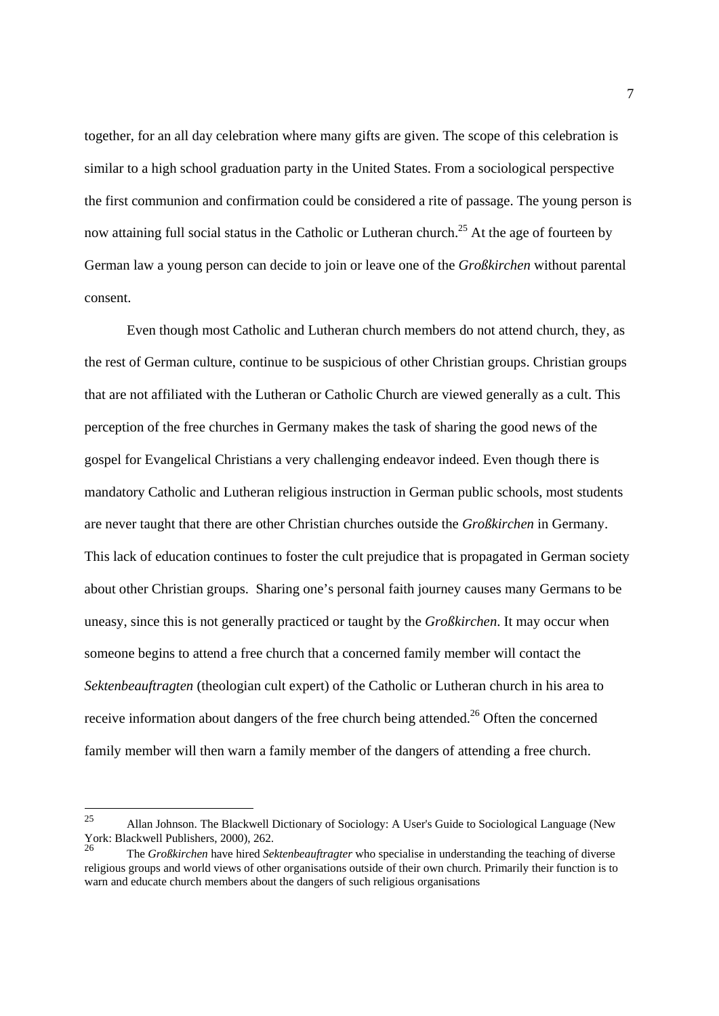together, for an all day celebration where many gifts are given. The scope of this celebration is similar to a high school graduation party in the United States. From a sociological perspective the first communion and confirmation could be considered a rite of passage. The young person is now attaining full social status in the Catholic or Lutheran church.<sup>25</sup> At the age of fourteen by German law a young person can decide to join or leave one of the *Großkirchen* without parental consent.

Even though most Catholic and Lutheran church members do not attend church, they, as the rest of German culture, continue to be suspicious of other Christian groups. Christian groups that are not affiliated with the Lutheran or Catholic Church are viewed generally as a cult. This perception of the free churches in Germany makes the task of sharing the good news of the gospel for Evangelical Christians a very challenging endeavor indeed. Even though there is mandatory Catholic and Lutheran religious instruction in German public schools, most students are never taught that there are other Christian churches outside the *Großkirchen* in Germany. This lack of education continues to foster the cult prejudice that is propagated in German society about other Christian groups. Sharing one's personal faith journey causes many Germans to be uneasy, since this is not generally practiced or taught by the *Großkirchen*. It may occur when someone begins to attend a free church that a concerned family member will contact the *Sektenbeauftragten* (theologian cult expert) of the Catholic or Lutheran church in his area to receive information about dangers of the free church being attended.<sup>26</sup> Often the concerned family member will then warn a family member of the dangers of attending a free church.

 $25$ 25 Allan Johnson. The Blackwell Dictionary of Sociology: A User's Guide to Sociological Language (New York: Blackwell Publishers, 2000), 262.

<sup>26</sup> The *Großkirchen* have hired *Sektenbeauftragter* who specialise in understanding the teaching of diverse religious groups and world views of other organisations outside of their own church. Primarily their function is to warn and educate church members about the dangers of such religious organisations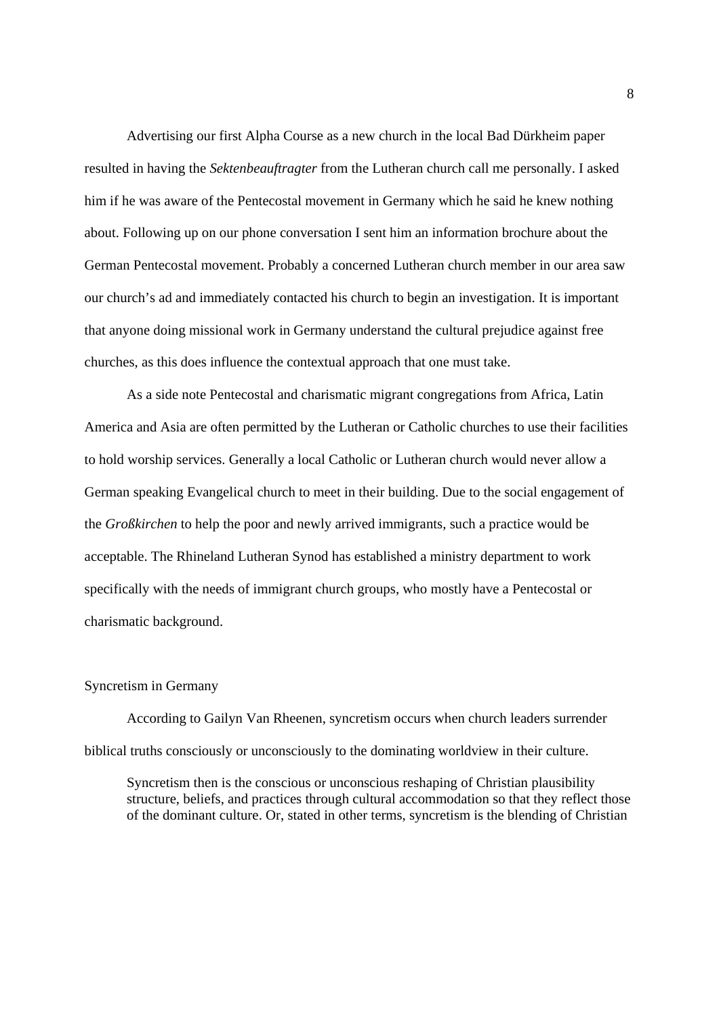Advertising our first Alpha Course as a new church in the local Bad Dürkheim paper resulted in having the *Sektenbeauftragter* from the Lutheran church call me personally. I asked him if he was aware of the Pentecostal movement in Germany which he said he knew nothing about. Following up on our phone conversation I sent him an information brochure about the German Pentecostal movement. Probably a concerned Lutheran church member in our area saw our church's ad and immediately contacted his church to begin an investigation. It is important that anyone doing missional work in Germany understand the cultural prejudice against free churches, as this does influence the contextual approach that one must take.

 As a side note Pentecostal and charismatic migrant congregations from Africa, Latin America and Asia are often permitted by the Lutheran or Catholic churches to use their facilities to hold worship services. Generally a local Catholic or Lutheran church would never allow a German speaking Evangelical church to meet in their building. Due to the social engagement of the *Großkirchen* to help the poor and newly arrived immigrants, such a practice would be acceptable. The Rhineland Lutheran Synod has established a ministry department to work specifically with the needs of immigrant church groups, who mostly have a Pentecostal or charismatic background.

#### Syncretism in Germany

According to Gailyn Van Rheenen, syncretism occurs when church leaders surrender biblical truths consciously or unconsciously to the dominating worldview in their culture.

 Syncretism then is the conscious or unconscious reshaping of Christian plausibility structure, beliefs, and practices through cultural accommodation so that they reflect those of the dominant culture. Or, stated in other terms, syncretism is the blending of Christian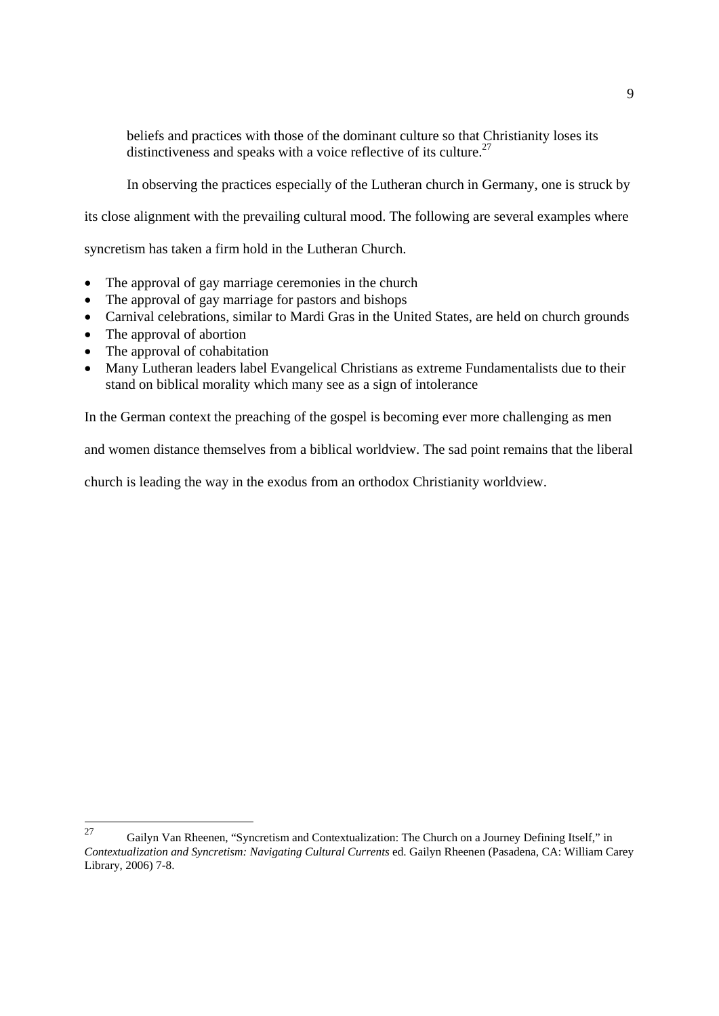beliefs and practices with those of the dominant culture so that Christianity loses its distinctiveness and speaks with a voice reflective of its culture.<sup>27</sup>

In observing the practices especially of the Lutheran church in Germany, one is struck by

its close alignment with the prevailing cultural mood. The following are several examples where

syncretism has taken a firm hold in the Lutheran Church.

- The approval of gay marriage ceremonies in the church
- The approval of gay marriage for pastors and bishops
- Carnival celebrations, similar to Mardi Gras in the United States, are held on church grounds
- The approval of abortion
- The approval of cohabitation
- Many Lutheran leaders label Evangelical Christians as extreme Fundamentalists due to their stand on biblical morality which many see as a sign of intolerance

In the German context the preaching of the gospel is becoming ever more challenging as men

and women distance themselves from a biblical worldview. The sad point remains that the liberal

church is leading the way in the exodus from an orthodox Christianity worldview.

<sup>27</sup> 27 Gailyn Van Rheenen, "Syncretism and Contextualization: The Church on a Journey Defining Itself," in *Contextualization and Syncretism: Navigating Cultural Currents* ed. Gailyn Rheenen (Pasadena, CA: William Carey Library, 2006) 7-8.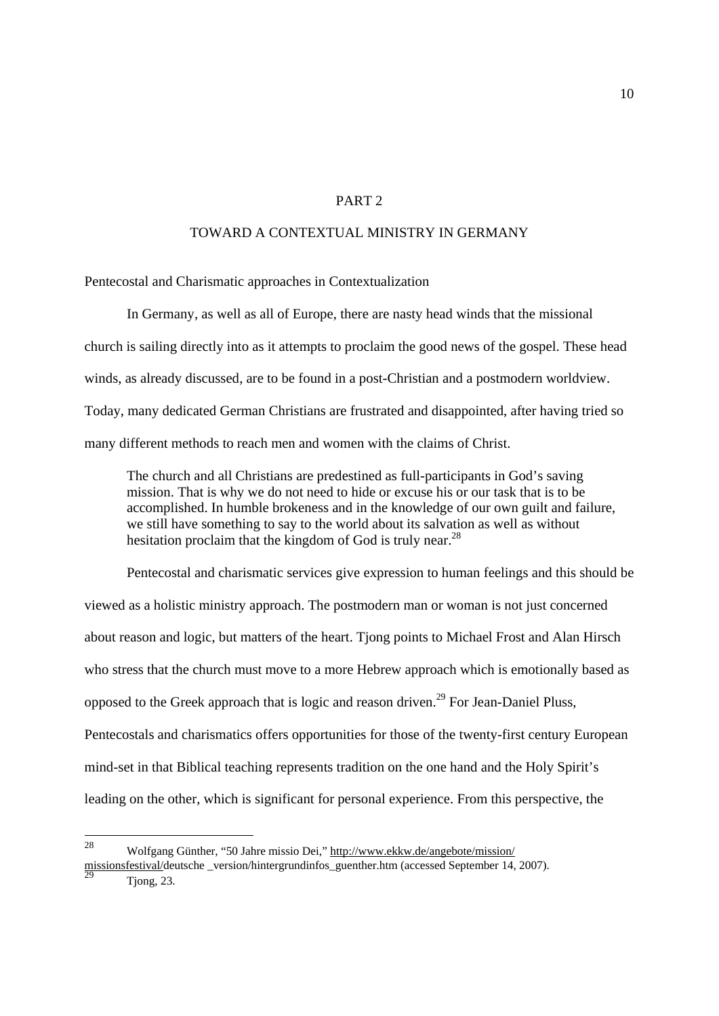#### PART 2

## TOWARD A CONTEXTUAL MINISTRY IN GERMANY

Pentecostal and Charismatic approaches in Contextualization

In Germany, as well as all of Europe, there are nasty head winds that the missional church is sailing directly into as it attempts to proclaim the good news of the gospel. These head winds, as already discussed, are to be found in a post-Christian and a postmodern worldview. Today, many dedicated German Christians are frustrated and disappointed, after having tried so many different methods to reach men and women with the claims of Christ.

 The church and all Christians are predestined as full-participants in God's saving mission. That is why we do not need to hide or excuse his or our task that is to be accomplished. In humble brokeness and in the knowledge of our own guilt and failure, we still have something to say to the world about its salvation as well as without hesitation proclaim that the kingdom of God is truly near.<sup>28</sup>

Pentecostal and charismatic services give expression to human feelings and this should be viewed as a holistic ministry approach. The postmodern man or woman is not just concerned about reason and logic, but matters of the heart. Tjong points to Michael Frost and Alan Hirsch who stress that the church must move to a more Hebrew approach which is emotionally based as opposed to the Greek approach that is logic and reason driven.<sup>29</sup> For Jean-Daniel Pluss. Pentecostals and charismatics offers opportunities for those of the twenty-first century European mind-set in that Biblical teaching represents tradition on the one hand and the Holy Spirit's leading on the other, which is significant for personal experience. From this perspective, the

<sup>28</sup> 28 Wolfgang Günther, "50 Jahre missio Dei," http://www.ekkw.de/angebote/mission/

missionsfestival/deutsche \_version/hintergrundinfos\_guenther.htm (accessed September 14, 2007).  $\frac{29}{\text{Topg}, 23.}$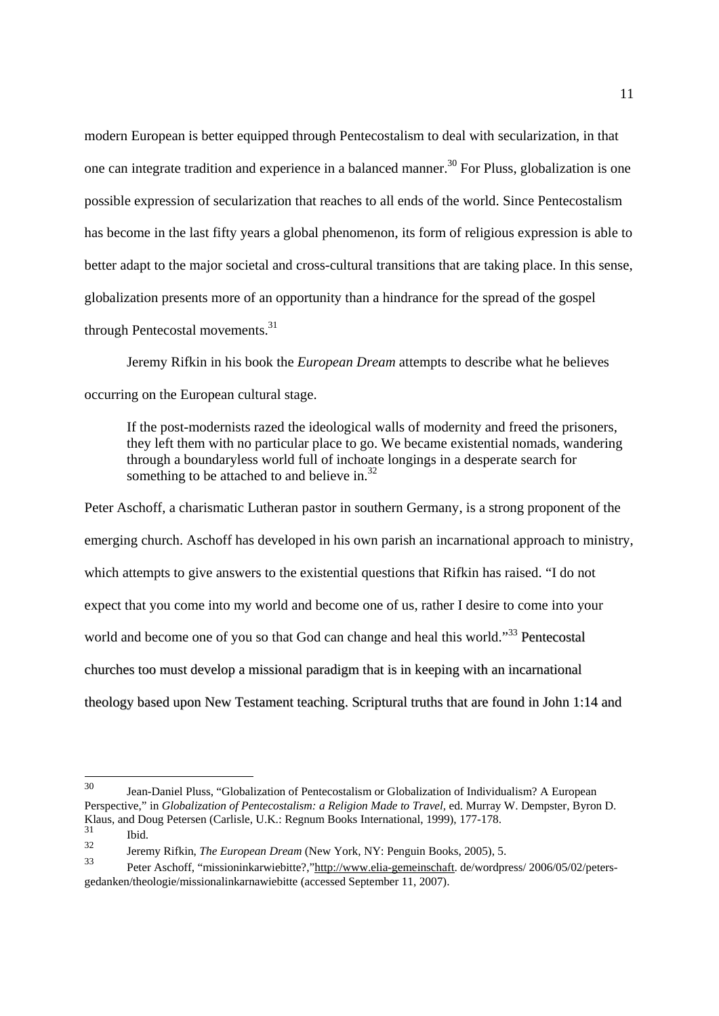modern European is better equipped through Pentecostalism to deal with secularization, in that one can integrate tradition and experience in a balanced manner.<sup>30</sup> For Pluss, globalization is one possible expression of secularization that reaches to all ends of the world. Since Pentecostalism has become in the last fifty years a global phenomenon, its form of religious expression is able to better adapt to the major societal and cross-cultural transitions that are taking place. In this sense, globalization presents more of an opportunity than a hindrance for the spread of the gospel through Pentecostal movements.31

Jeremy Rifkin in his book the *European Dream* attempts to describe what he believes occurring on the European cultural stage.

 If the post-modernists razed the ideological walls of modernity and freed the prisoners, they left them with no particular place to go. We became existential nomads, wandering through a boundaryless world full of inchoate longings in a desperate search for something to be attached to and believe in. $32$ 

Peter Aschoff, a charismatic Lutheran pastor in southern Germany, is a strong proponent of the emerging church. Aschoff has developed in his own parish an incarnational approach to ministry, which attempts to give answers to the existential questions that Rifkin has raised. "I do not expect that you come into my world and become one of us, rather I desire to come into your world and become one of you so that God can change and heal this world."<sup>33</sup> Pentecostal churches too must develop a missional paradigm that is in keeping with an incarnational theology based upon New Testament teaching. Scriptural truths that are found in John 1:14 and

<sup>30</sup> Jean-Daniel Pluss, "Globalization of Pentecostalism or Globalization of Individualism? A European Perspective," in *Globalization of Pentecostalism: a Religion Made to Travel,* ed. Murray W. Dempster, Byron D. Klaus, and Doug Petersen (Carlisle, U.K.: Regnum Books International, 1999), 177-178.

 $\frac{31}{32}$  Ibid.

<sup>32</sup> Jeremy Rifkin, *The European Dream* (New York, NY: Penguin Books, 2005), 5.

<sup>33</sup> Peter Aschoff, "missioninkarwiebitte?,"http://www.elia-gemeinschaft. de/wordpress/ 2006/05/02/petersgedanken/theologie/missionalinkarnawiebitte (accessed September 11, 2007).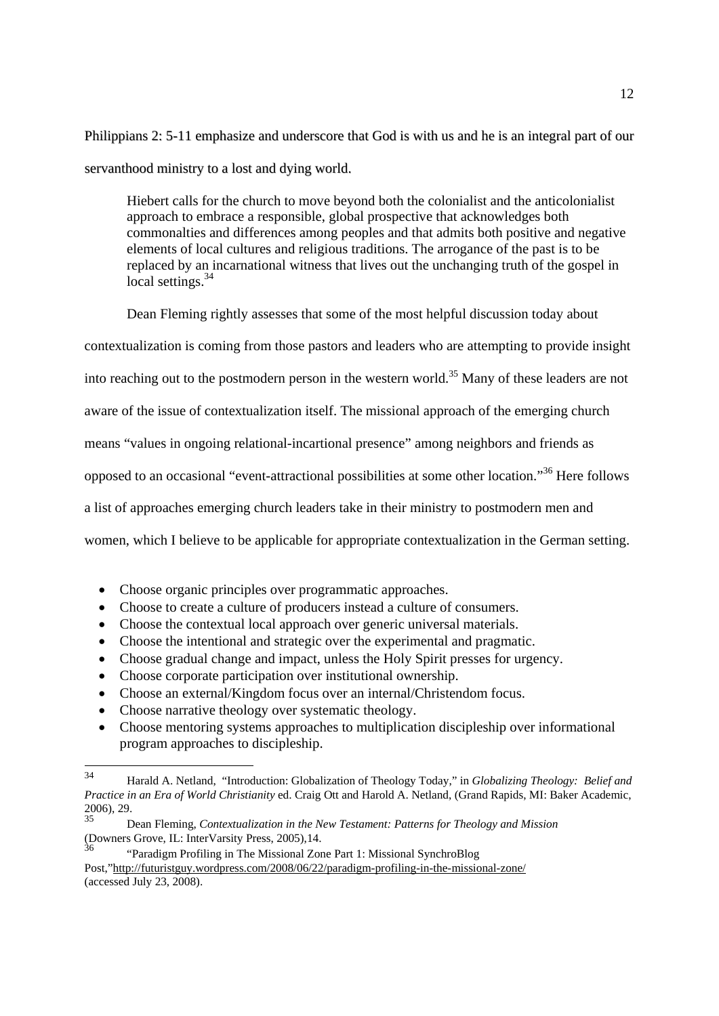Philippians 2: 5-11 emphasize and underscore that God is with us and he is an integral part of our servanthood ministry to a lost and dying world.

 Hiebert calls for the church to move beyond both the colonialist and the anticolonialist approach to embrace a responsible, global prospective that acknowledges both commonalties and differences among peoples and that admits both positive and negative elements of local cultures and religious traditions. The arrogance of the past is to be replaced by an incarnational witness that lives out the unchanging truth of the gospel in local settings.<sup>34</sup>

Dean Fleming rightly assesses that some of the most helpful discussion today about contextualization is coming from those pastors and leaders who are attempting to provide insight into reaching out to the postmodern person in the western world.<sup>35</sup> Many of these leaders are not aware of the issue of contextualization itself. The missional approach of the emerging church means "values in ongoing relational-incartional presence" among neighbors and friends as opposed to an occasional "event-attractional possibilities at some other location."36 Here follows a list of approaches emerging church leaders take in their ministry to postmodern men and women, which I believe to be applicable for appropriate contextualization in the German setting.

- Choose organic principles over programmatic approaches.
- Choose to create a culture of producers instead a culture of consumers.
- Choose the contextual local approach over generic universal materials.
- Choose the intentional and strategic over the experimental and pragmatic.
- Choose gradual change and impact, unless the Holy Spirit presses for urgency.
- Choose corporate participation over institutional ownership.
- Choose an external/Kingdom focus over an internal/Christendom focus.
- Choose narrative theology over systematic theology.
- Choose mentoring systems approaches to multiplication discipleship over informational program approaches to discipleship.

 $34$ 34 Harald A. Netland, "Introduction: Globalization of Theology Today," in *Globalizing Theology: Belief and Practice in an Era of World Christianity* ed. Craig Ott and Harold A. Netland, (Grand Rapids, MI: Baker Academic,  $2006$ , 29.

<sup>35</sup> Dean Fleming, *Contextualization in the New Testament: Patterns for Theology and Mission*  (Downers Grove, IL: InterVarsity Press, 2005),14.

<sup>36 &</sup>quot;Paradigm Profiling in The Missional Zone Part 1: Missional SynchroBlog Post,"http://futuristguy.wordpress.com/2008/06/22/paradigm-profiling-in-the-missional-zone/ (accessed July 23, 2008).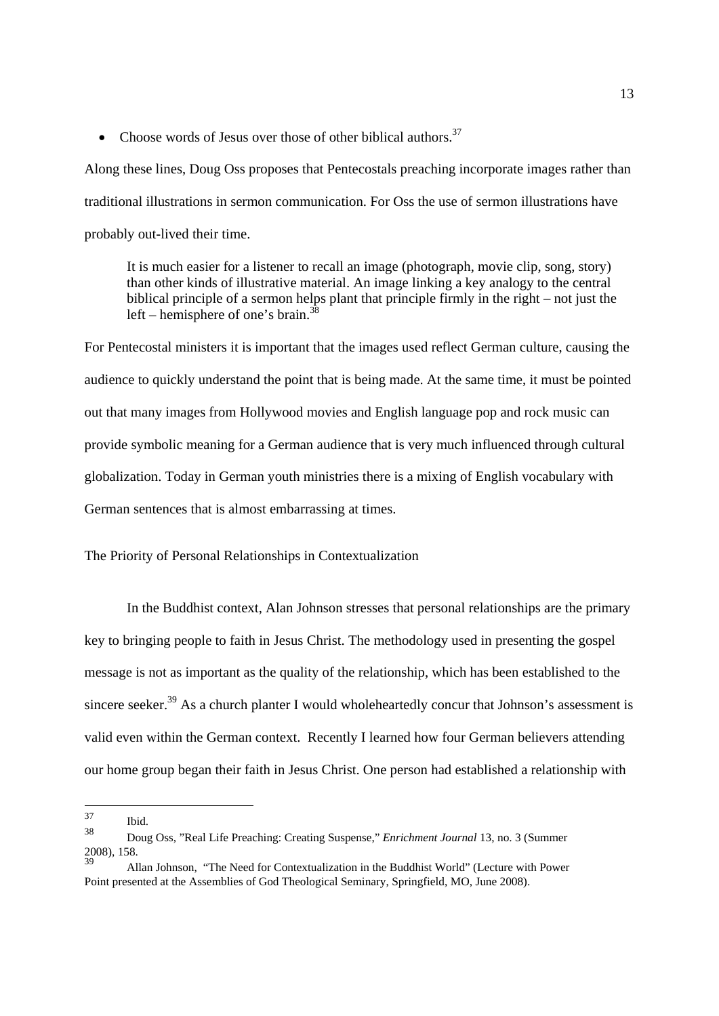• Choose words of Jesus over those of other biblical authors.<sup>37</sup>

Along these lines, Doug Oss proposes that Pentecostals preaching incorporate images rather than traditional illustrations in sermon communication. For Oss the use of sermon illustrations have probably out-lived their time.

 It is much easier for a listener to recall an image (photograph, movie clip, song, story) than other kinds of illustrative material. An image linking a key analogy to the central biblical principle of a sermon helps plant that principle firmly in the right – not just the left – hemisphere of one's brain. $3$ 

For Pentecostal ministers it is important that the images used reflect German culture, causing the audience to quickly understand the point that is being made. At the same time, it must be pointed out that many images from Hollywood movies and English language pop and rock music can provide symbolic meaning for a German audience that is very much influenced through cultural globalization. Today in German youth ministries there is a mixing of English vocabulary with German sentences that is almost embarrassing at times.

The Priority of Personal Relationships in Contextualization

In the Buddhist context, Alan Johnson stresses that personal relationships are the primary key to bringing people to faith in Jesus Christ. The methodology used in presenting the gospel message is not as important as the quality of the relationship, which has been established to the sincere seeker.<sup>39</sup> As a church planter I would wholeheartedly concur that Johnson's assessment is valid even within the German context. Recently I learned how four German believers attending our home group began their faith in Jesus Christ. One person had established a relationship with

<sup>37</sup>  $\frac{37}{38}$  Ibid.

<sup>38</sup> Doug Oss, "Real Life Preaching: Creating Suspense," *Enrichment Journal* 13, no. 3 (Summer 2008), 158.

<sup>39</sup> Allan Johnson, "The Need for Contextualization in the Buddhist World" (Lecture with Power Point presented at the Assemblies of God Theological Seminary, Springfield, MO, June 2008).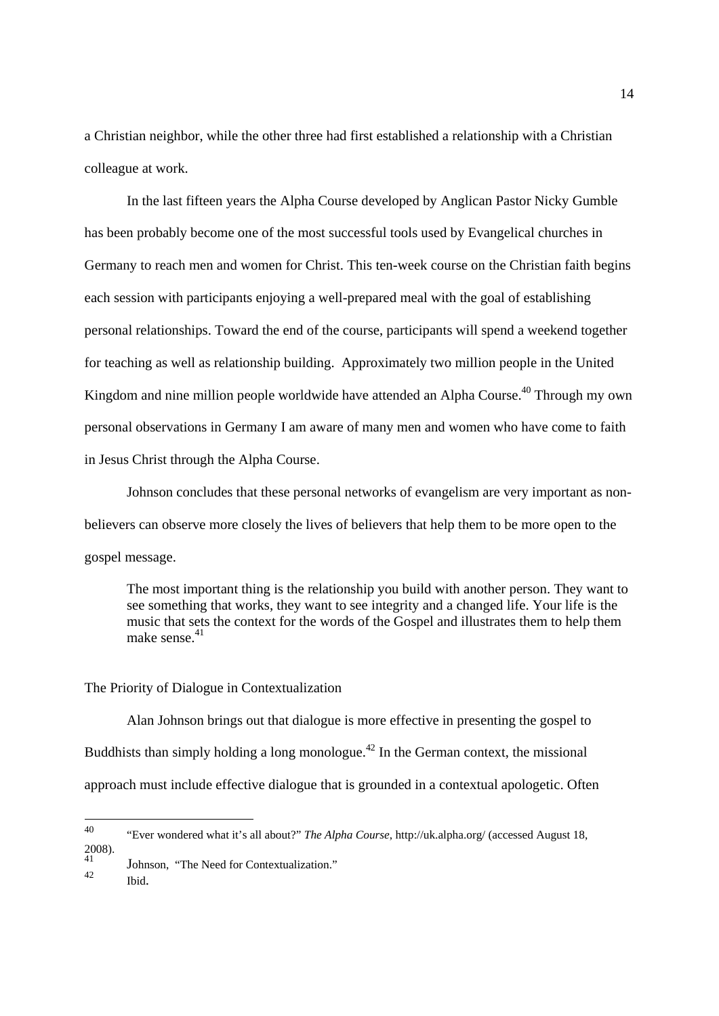a Christian neighbor, while the other three had first established a relationship with a Christian colleague at work.

 In the last fifteen years the Alpha Course developed by Anglican Pastor Nicky Gumble has been probably become one of the most successful tools used by Evangelical churches in Germany to reach men and women for Christ. This ten-week course on the Christian faith begins each session with participants enjoying a well-prepared meal with the goal of establishing personal relationships. Toward the end of the course, participants will spend a weekend together for teaching as well as relationship building. Approximately two million people in the United Kingdom and nine million people worldwide have attended an Alpha Course.<sup>40</sup> Through my own personal observations in Germany I am aware of many men and women who have come to faith in Jesus Christ through the Alpha Course.

Johnson concludes that these personal networks of evangelism are very important as nonbelievers can observe more closely the lives of believers that help them to be more open to the gospel message.

 The most important thing is the relationship you build with another person. They want to see something that works, they want to see integrity and a changed life. Your life is the music that sets the context for the words of the Gospel and illustrates them to help them make sense. $41$ 

#### The Priority of Dialogue in Contextualization

Alan Johnson brings out that dialogue is more effective in presenting the gospel to Buddhists than simply holding a long monologue.<sup> $42$ </sup> In the German context, the missional approach must include effective dialogue that is grounded in a contextual apologetic. Often

<sup>40</sup> 40 "Ever wondered what it's all about?" *The Alpha Course*, http://uk.alpha.org/ (accessed August 18,  $2008$ ).

 $\frac{41}{42}$  Johnson, "The Need for Contextualization."

Ibid.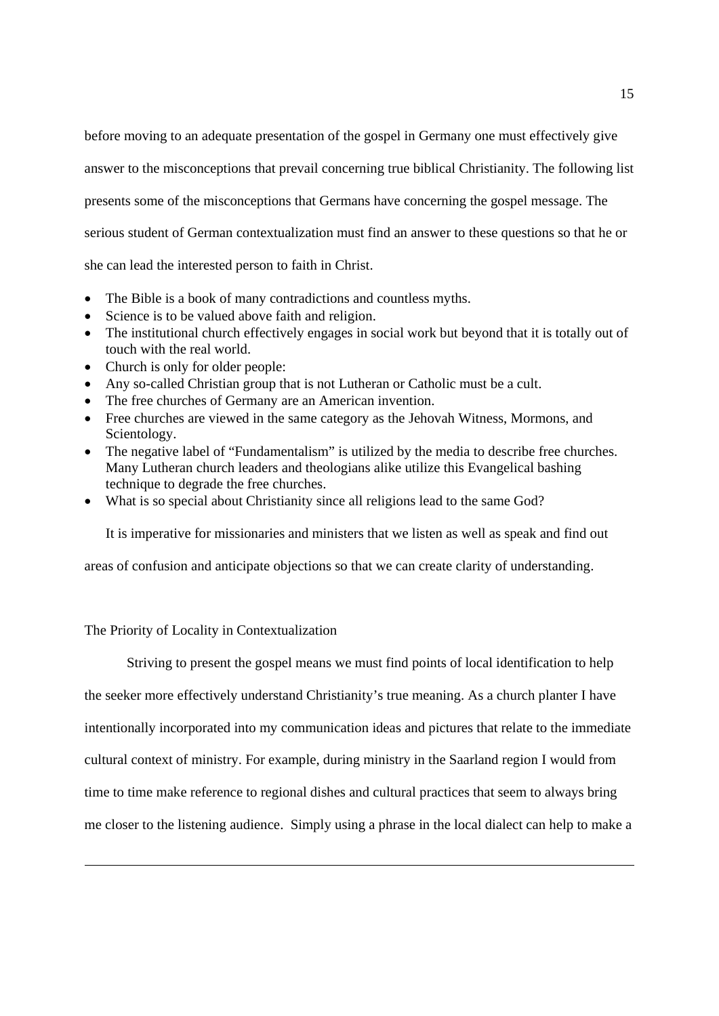before moving to an adequate presentation of the gospel in Germany one must effectively give answer to the misconceptions that prevail concerning true biblical Christianity. The following list presents some of the misconceptions that Germans have concerning the gospel message. The serious student of German contextualization must find an answer to these questions so that he or

she can lead the interested person to faith in Christ.

- The Bible is a book of many contradictions and countless myths.
- Science is to be valued above faith and religion.
- The institutional church effectively engages in social work but beyond that it is totally out of touch with the real world.
- Church is only for older people:
- Any so-called Christian group that is not Lutheran or Catholic must be a cult.
- The free churches of Germany are an American invention.
- Free churches are viewed in the same category as the Jehovah Witness, Mormons, and Scientology.
- The negative label of "Fundamentalism" is utilized by the media to describe free churches. Many Lutheran church leaders and theologians alike utilize this Evangelical bashing technique to degrade the free churches.
- What is so special about Christianity since all religions lead to the same God?

It is imperative for missionaries and ministers that we listen as well as speak and find out

areas of confusion and anticipate objections so that we can create clarity of understanding.

The Priority of Locality in Contextualization

Striving to present the gospel means we must find points of local identification to help the seeker more effectively understand Christianity's true meaning. As a church planter I have intentionally incorporated into my communication ideas and pictures that relate to the immediate cultural context of ministry. For example, during ministry in the Saarland region I would from time to time make reference to regional dishes and cultural practices that seem to always bring me closer to the listening audience. Simply using a phrase in the local dialect can help to make a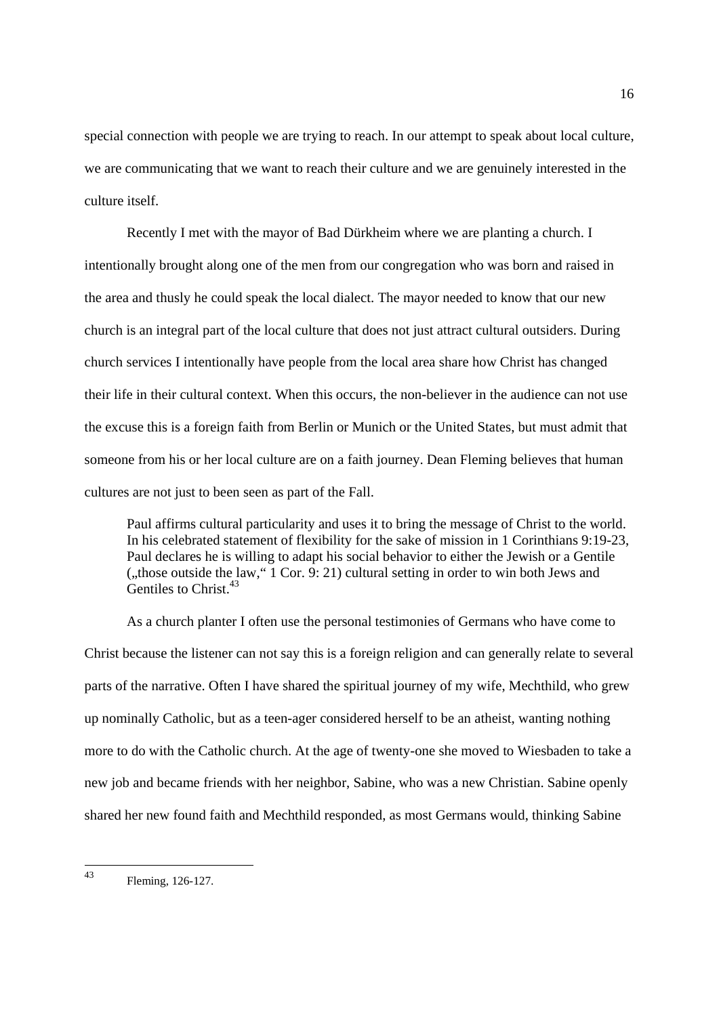special connection with people we are trying to reach. In our attempt to speak about local culture, we are communicating that we want to reach their culture and we are genuinely interested in the culture itself.

Recently I met with the mayor of Bad Dürkheim where we are planting a church. I intentionally brought along one of the men from our congregation who was born and raised in the area and thusly he could speak the local dialect. The mayor needed to know that our new church is an integral part of the local culture that does not just attract cultural outsiders. During church services I intentionally have people from the local area share how Christ has changed their life in their cultural context. When this occurs, the non-believer in the audience can not use the excuse this is a foreign faith from Berlin or Munich or the United States, but must admit that someone from his or her local culture are on a faith journey. Dean Fleming believes that human cultures are not just to been seen as part of the Fall.

 Paul affirms cultural particularity and uses it to bring the message of Christ to the world. In his celebrated statement of flexibility for the sake of mission in 1 Corinthians 9:19-23, Paul declares he is willing to adapt his social behavior to either the Jewish or a Gentile ("those outside the law,"  $\overline{1}$  Cor.  $\overline{9}$ : 21) cultural setting in order to win both Jews and Gentiles to Christ.<sup>43</sup>

As a church planter I often use the personal testimonies of Germans who have come to Christ because the listener can not say this is a foreign religion and can generally relate to several parts of the narrative. Often I have shared the spiritual journey of my wife, Mechthild, who grew up nominally Catholic, but as a teen-ager considered herself to be an atheist, wanting nothing more to do with the Catholic church. At the age of twenty-one she moved to Wiesbaden to take a new job and became friends with her neighbor, Sabine, who was a new Christian. Sabine openly shared her new found faith and Mechthild responded, as most Germans would, thinking Sabine

 $43$ Fleming, 126-127.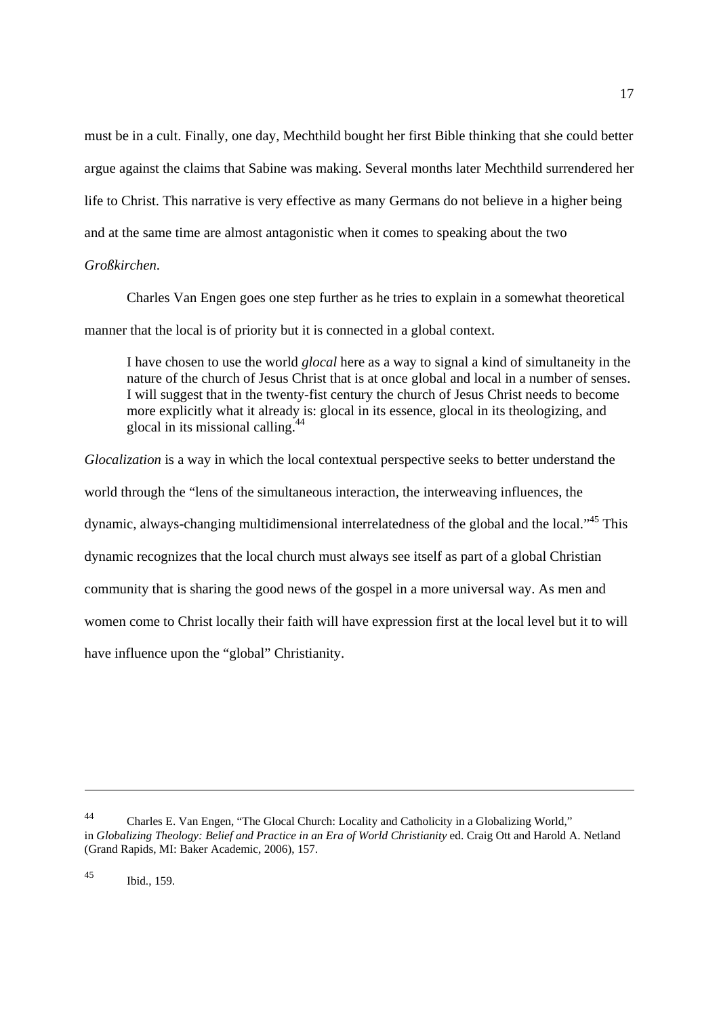must be in a cult. Finally, one day, Mechthild bought her first Bible thinking that she could better argue against the claims that Sabine was making. Several months later Mechthild surrendered her life to Christ. This narrative is very effective as many Germans do not believe in a higher being and at the same time are almost antagonistic when it comes to speaking about the two

### *Großkirchen*.

Charles Van Engen goes one step further as he tries to explain in a somewhat theoretical manner that the local is of priority but it is connected in a global context.

 I have chosen to use the world *glocal* here as a way to signal a kind of simultaneity in the nature of the church of Jesus Christ that is at once global and local in a number of senses. I will suggest that in the twenty-fist century the church of Jesus Christ needs to become more explicitly what it already is: glocal in its essence, glocal in its theologizing, and glocal in its missional calling.<sup>44</sup>

*Glocalization* is a way in which the local contextual perspective seeks to better understand the world through the "lens of the simultaneous interaction, the interweaving influences, the dynamic, always-changing multidimensional interrelatedness of the global and the local."45 This dynamic recognizes that the local church must always see itself as part of a global Christian community that is sharing the good news of the gospel in a more universal way. As men and women come to Christ locally their faith will have expression first at the local level but it to will have influence upon the "global" Christianity.

<sup>44</sup> Charles E. Van Engen, "The Glocal Church: Locality and Catholicity in a Globalizing World," in *Globalizing Theology: Belief and Practice in an Era of World Christianity* ed. Craig Ott and Harold A. Netland (Grand Rapids, MI: Baker Academic, 2006), 157.

<sup>45</sup> Ibid., 159.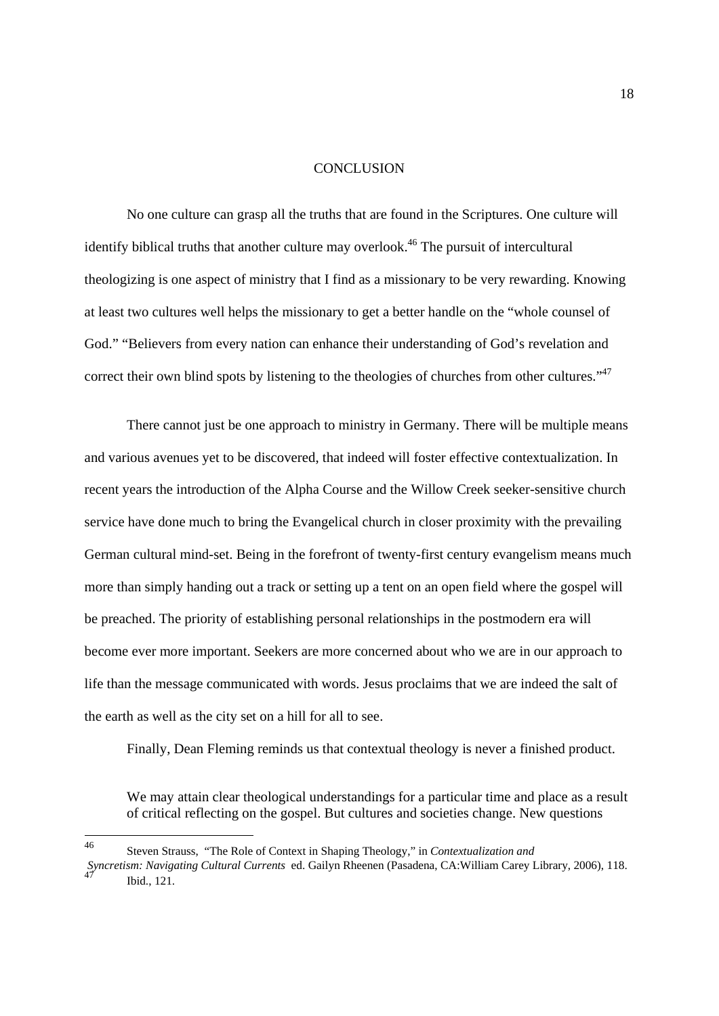#### **CONCLUSION**

No one culture can grasp all the truths that are found in the Scriptures. One culture will identify biblical truths that another culture may overlook.<sup>46</sup> The pursuit of intercultural theologizing is one aspect of ministry that I find as a missionary to be very rewarding. Knowing at least two cultures well helps the missionary to get a better handle on the "whole counsel of God." "Believers from every nation can enhance their understanding of God's revelation and correct their own blind spots by listening to the theologies of churches from other cultures."<sup>47</sup>

There cannot just be one approach to ministry in Germany. There will be multiple means and various avenues yet to be discovered, that indeed will foster effective contextualization. In recent years the introduction of the Alpha Course and the Willow Creek seeker-sensitive church service have done much to bring the Evangelical church in closer proximity with the prevailing German cultural mind-set. Being in the forefront of twenty-first century evangelism means much more than simply handing out a track or setting up a tent on an open field where the gospel will be preached. The priority of establishing personal relationships in the postmodern era will become ever more important. Seekers are more concerned about who we are in our approach to life than the message communicated with words. Jesus proclaims that we are indeed the salt of the earth as well as the city set on a hill for all to see.

Finally, Dean Fleming reminds us that contextual theology is never a finished product.

 We may attain clear theological understandings for a particular time and place as a result of critical reflecting on the gospel. But cultures and societies change. New questions

 $46$ 46 Steven Strauss, "The Role of Context in Shaping Theology," in *Contextualization and* 

*Syncretism: Navigating Cultural Currents* ed. Gailyn Rheenen (Pasadena, CA:William Carey Library, 2006), 118.  $47$  Ibid., 121.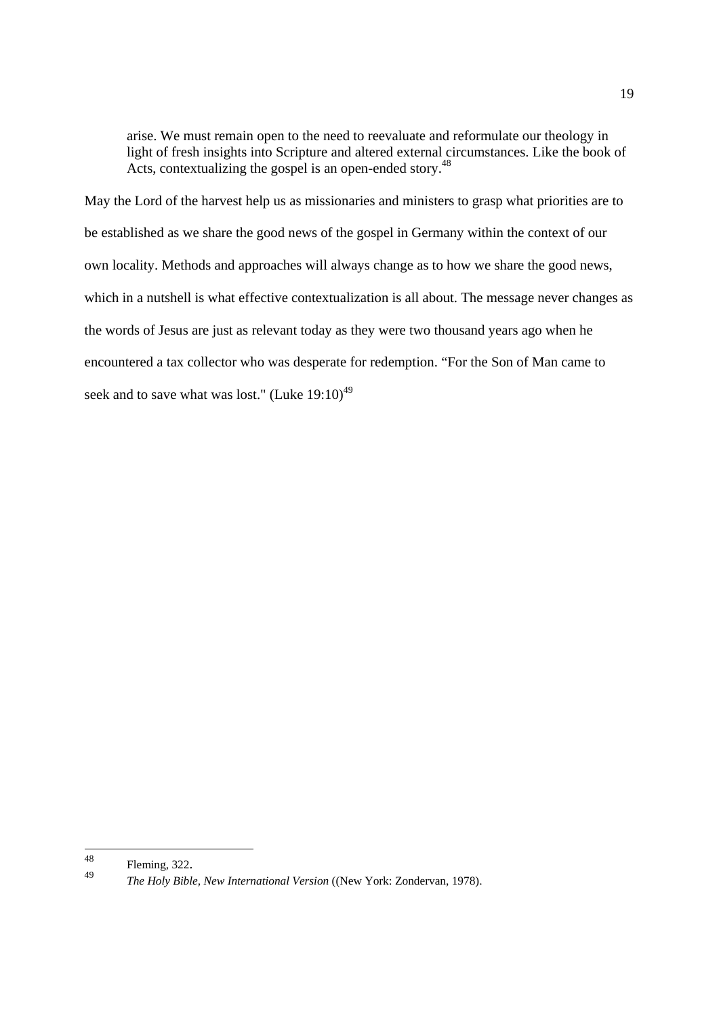arise. We must remain open to the need to reevaluate and reformulate our theology in light of fresh insights into Scripture and altered external circumstances. Like the book of Acts, contextualizing the gospel is an open-ended story.<sup>48</sup>

May the Lord of the harvest help us as missionaries and ministers to grasp what priorities are to be established as we share the good news of the gospel in Germany within the context of our own locality. Methods and approaches will always change as to how we share the good news, which in a nutshell is what effective contextualization is all about. The message never changes as the words of Jesus are just as relevant today as they were two thousand years ago when he encountered a tax collector who was desperate for redemption. "For the Son of Man came to seek and to save what was lost." (Luke  $19:10^{49}$ )

<sup>48</sup> 

<sup>48</sup> Fleming, 322. 49 *The Holy Bible, New International Version* ((New York: Zondervan, 1978).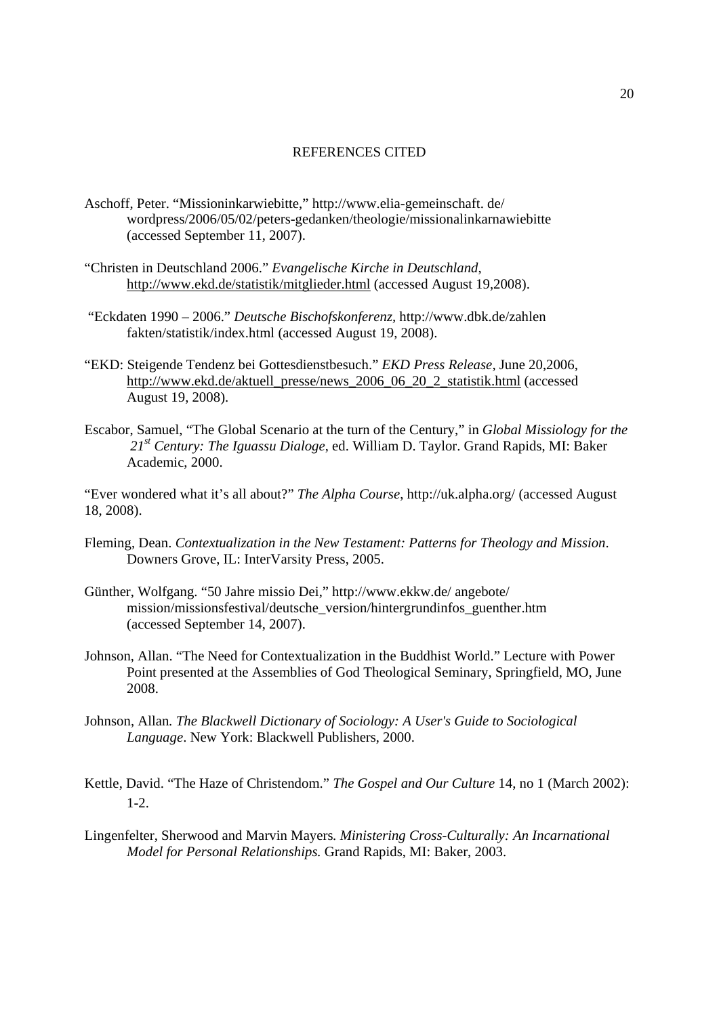#### REFERENCES CITED

- Aschoff, Peter. "Missioninkarwiebitte," http://www.elia-gemeinschaft. de/ wordpress/2006/05/02/peters-gedanken/theologie/missionalinkarnawiebitte (accessed September 11, 2007).
- "Christen in Deutschland 2006." *Evangelische Kirche in Deutschland*, http://www.ekd.de/statistik/mitglieder.html (accessed August 19,2008).
- "Eckdaten 1990 2006." *Deutsche Bischofskonferenz,* http://www.dbk.de/zahlen fakten/statistik/index.html (accessed August 19, 2008).
- "EKD: Steigende Tendenz bei Gottesdienstbesuch." *EKD Press Release,* June 20,2006, http://www.ekd.de/aktuell\_presse/news\_2006\_06\_20\_2\_statistik.html (accessed August 19, 2008).
- Escabor, Samuel, "The Global Scenario at the turn of the Century," in *Global Missiology for the 21st Century: The Iguassu Dialoge*, ed. William D. Taylor. Grand Rapids, MI: Baker Academic, 2000.

"Ever wondered what it's all about?" *The Alpha Course*, http://uk.alpha.org/ (accessed August 18, 2008).

- Fleming, Dean. *Contextualization in the New Testament: Patterns for Theology and Mission*. Downers Grove, IL: InterVarsity Press, 2005.
- Günther, Wolfgang. "50 Jahre missio Dei," http://www.ekkw.de/ angebote/ mission/missionsfestival/deutsche\_version/hintergrundinfos\_guenther.htm (accessed September 14, 2007).
- Johnson, Allan. "The Need for Contextualization in the Buddhist World." Lecture with Power Point presented at the Assemblies of God Theological Seminary, Springfield, MO, June 2008.
- Johnson, Allan*. The Blackwell Dictionary of Sociology: A User's Guide to Sociological Language*. New York: Blackwell Publishers, 2000.
- Kettle, David. "The Haze of Christendom." *The Gospel and Our Culture* 14, no 1 (March 2002): 1-2.
- Lingenfelter, Sherwood and Marvin Mayers*. Ministering Cross-Culturally: An Incarnational Model for Personal Relationships.* Grand Rapids, MI: Baker, 2003.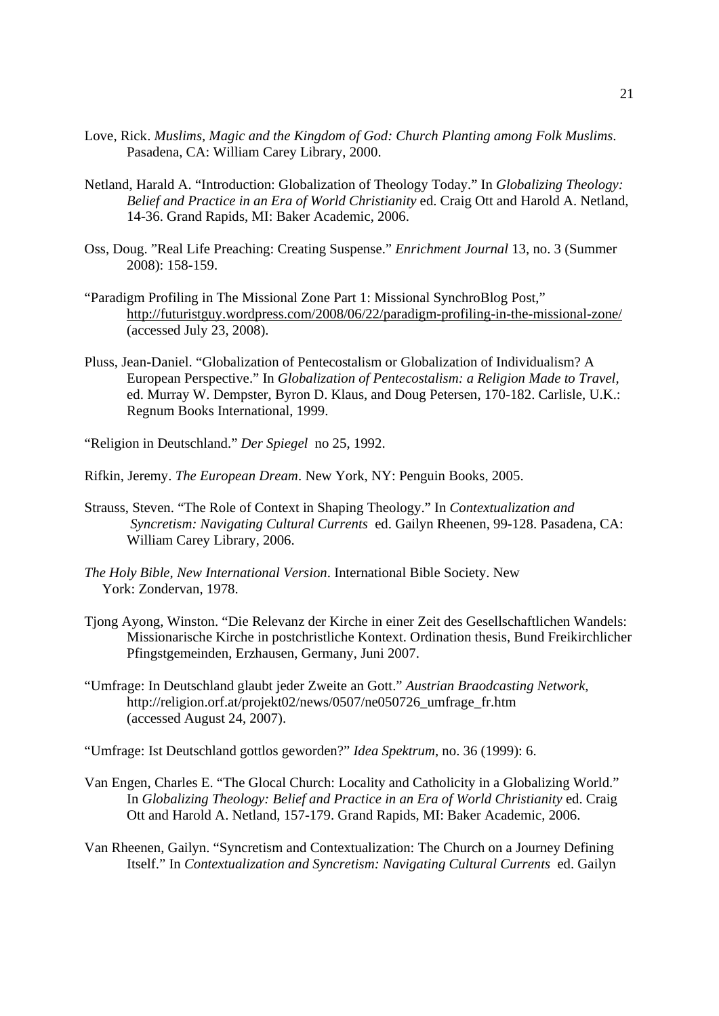- Love, Rick. *Muslims, Magic and the Kingdom of God: Church Planting among Folk Muslims*. Pasadena, CA: William Carey Library, 2000.
- Netland, Harald A. "Introduction: Globalization of Theology Today." In *Globalizing Theology: Belief and Practice in an Era of World Christianity* ed. Craig Ott and Harold A. Netland, 14-36. Grand Rapids, MI: Baker Academic, 2006.
- Oss, Doug. "Real Life Preaching: Creating Suspense." *Enrichment Journal* 13, no. 3 (Summer 2008): 158-159.
- "Paradigm Profiling in The Missional Zone Part 1: Missional SynchroBlog Post," http://futuristguy.wordpress.com/2008/06/22/paradigm-profiling-in-the-missional-zone/ (accessed July 23, 2008).
- Pluss, Jean-Daniel. "Globalization of Pentecostalism or Globalization of Individualism? A European Perspective." In *Globalization of Pentecostalism: a Religion Made to Travel,*  ed. Murray W. Dempster, Byron D. Klaus, and Doug Petersen, 170-182. Carlisle, U.K.: Regnum Books International, 1999.
- "Religion in Deutschland." *Der Spiegel* no 25, 1992.
- Rifkin, Jeremy. *The European Dream*. New York, NY: Penguin Books, 2005.
- Strauss, Steven. "The Role of Context in Shaping Theology." In *Contextualization and Syncretism: Navigating Cultural Currents* ed. Gailyn Rheenen, 99-128. Pasadena, CA: William Carey Library, 2006.
- *The Holy Bible, New International Version*. International Bible Society. New York: Zondervan, 1978.
- Tjong Ayong, Winston. "Die Relevanz der Kirche in einer Zeit des Gesellschaftlichen Wandels: Missionarische Kirche in postchristliche Kontext. Ordination thesis, Bund Freikirchlicher Pfingstgemeinden, Erzhausen, Germany, Juni 2007.
- "Umfrage: In Deutschland glaubt jeder Zweite an Gott." *Austrian Braodcasting Network,*  http://religion.orf.at/projekt02/news/0507/ne050726\_umfrage\_fr.htm (accessed August 24, 2007).
- "Umfrage: Ist Deutschland gottlos geworden?" *Idea Spektrum*, no. 36 (1999): 6.
- Van Engen, Charles E. "The Glocal Church: Locality and Catholicity in a Globalizing World." In *Globalizing Theology: Belief and Practice in an Era of World Christianity* ed. Craig Ott and Harold A. Netland, 157-179. Grand Rapids, MI: Baker Academic, 2006.
- Van Rheenen, Gailyn. "Syncretism and Contextualization: The Church on a Journey Defining Itself." In *Contextualization and Syncretism: Navigating Cultural Currents* ed. Gailyn